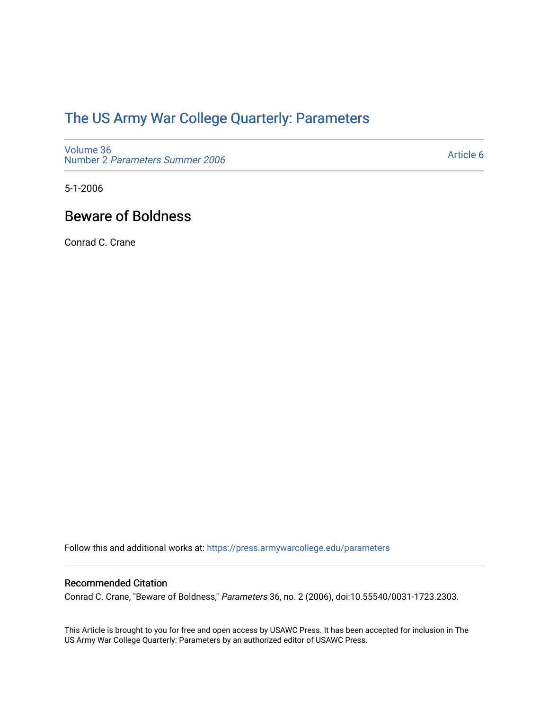## [The US Army War College Quarterly: Parameters](https://press.armywarcollege.edu/parameters)

[Volume 36](https://press.armywarcollege.edu/parameters/vol36) Number 2 [Parameters Summer 2006](https://press.armywarcollege.edu/parameters/vol36/iss2) 

[Article 6](https://press.armywarcollege.edu/parameters/vol36/iss2/6) 

5-1-2006

## Beware of Boldness

Conrad C. Crane

Follow this and additional works at: [https://press.armywarcollege.edu/parameters](https://press.armywarcollege.edu/parameters?utm_source=press.armywarcollege.edu%2Fparameters%2Fvol36%2Fiss2%2F6&utm_medium=PDF&utm_campaign=PDFCoverPages) 

#### Recommended Citation

Conrad C. Crane, "Beware of Boldness," Parameters 36, no. 2 (2006), doi:10.55540/0031-1723.2303.

This Article is brought to you for free and open access by USAWC Press. It has been accepted for inclusion in The US Army War College Quarterly: Parameters by an authorized editor of USAWC Press.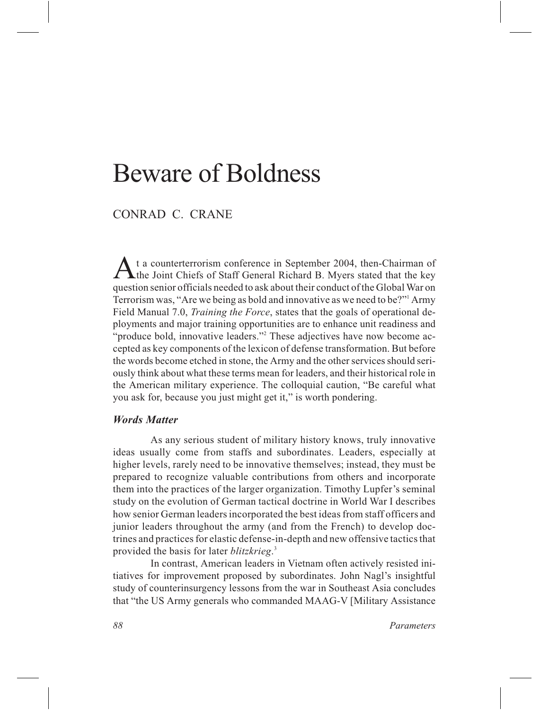# Beware of Boldness

### CONRAD C. CRANE

*A*t a counterterrorism conference in September 2004, then-Chairman of **The Joint Chiefs of Staff General Richard B. Myers stated that the key** question senior officials needed to ask about their conduct of the Global War on Terrorism was, "Are we being as bold and innovative as we need to be?"1 Army Field Manual 7.0, *Training the Force*, states that the goals of operational deployments and major training opportunities are to enhance unit readiness and "produce bold, innovative leaders."<sup>2</sup> These adjectives have now become accepted as key components of the lexicon of defense transformation. But before the words become etched in stone, the Army and the other services should seriously think about what these terms mean for leaders, and their historical role in the American military experience. The colloquial caution, "Be careful what you ask for, because you just might get it," is worth pondering.

#### *Words Matter*

As any serious student of military history knows, truly innovative ideas usually come from staffs and subordinates. Leaders, especially at higher levels, rarely need to be innovative themselves; instead, they must be prepared to recognize valuable contributions from others and incorporate them into the practices of the larger organization. Timothy Lupfer's seminal study on the evolution of German tactical doctrine in World War I describes how senior German leaders incorporated the best ideas from staff officers and junior leaders throughout the army (and from the French) to develop doctrines and practices for elastic defense-in-depth and new offensive tactics that provided the basis for later *blitzkrieg*. 3

In contrast, American leaders in Vietnam often actively resisted initiatives for improvement proposed by subordinates. John Nagl's insightful study of counterinsurgency lessons from the war in Southeast Asia concludes that "the US Army generals who commanded MAAG-V [Military Assistance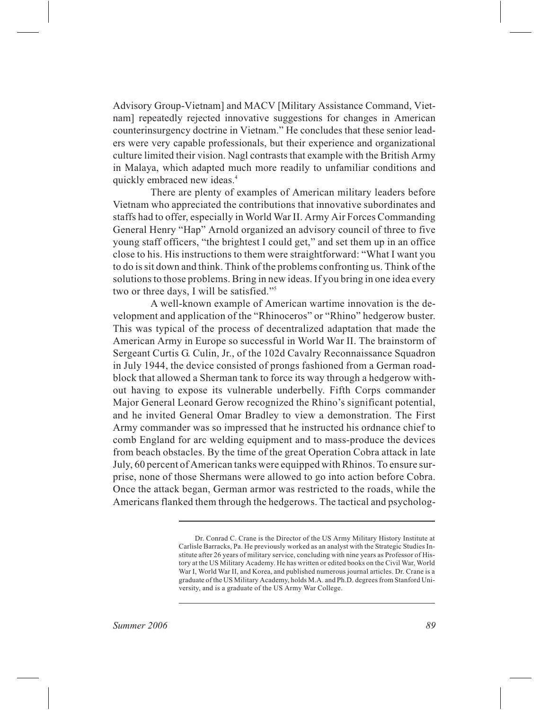Advisory Group-Vietnam] and MACV [Military Assistance Command, Vietnam] repeatedly rejected innovative suggestions for changes in American counterinsurgency doctrine in Vietnam." He concludes that these senior leaders were very capable professionals, but their experience and organizational culture limited their vision. Nagl contrasts that example with the British Army in Malaya, which adapted much more readily to unfamiliar conditions and quickly embraced new ideas.<sup>4</sup>

There are plenty of examples of American military leaders before Vietnam who appreciated the contributions that innovative subordinates and staffs had to offer, especially in World War II. Army Air Forces Commanding General Henry "Hap" Arnold organized an advisory council of three to five young staff officers, "the brightest I could get," and set them up in an office close to his. His instructions to them were straightforward: "What I want you to do is sit down and think. Think of the problems confronting us. Think of the solutions to those problems. Bring in new ideas. If you bring in one idea every two or three days, I will be satisfied."<sup>5</sup>

A well-known example of American wartime innovation is the development and application of the "Rhinoceros" or "Rhino" hedgerow buster. This was typical of the process of decentralized adaptation that made the American Army in Europe so successful in World War II. The brainstorm of Sergeant Curtis G. Culin, Jr., of the 102d Cavalry Reconnaissance Squadron in July 1944, the device consisted of prongs fashioned from a German roadblock that allowed a Sherman tank to force its way through a hedgerow without having to expose its vulnerable underbelly. Fifth Corps commander Major General Leonard Gerow recognized the Rhino's significant potential, and he invited General Omar Bradley to view a demonstration. The First Army commander was so impressed that he instructed his ordnance chief to comb England for arc welding equipment and to mass-produce the devices from beach obstacles. By the time of the great Operation Cobra attack in late July, 60 percent of American tanks were equipped with Rhinos. To ensure surprise, none of those Shermans were allowed to go into action before Cobra. Once the attack began, German armor was restricted to the roads, while the Americans flanked them through the hedgerows. The tactical and psycholog-

Dr. Conrad C. Crane is the Director of the US Army Military History Institute at Carlisle Barracks, Pa. He previously worked as an analyst with the Strategic Studies Institute after 26 years of military service, concluding with nine years as Professor of History at the US Military Academy. He has written or edited books on the Civil War, World War I, World War II, and Korea, and published numerous journal articles. Dr. Crane is a graduate of the US Military Academy, holds M.A. and Ph.D. degrees from Stanford University, and is a graduate of the US Army War College.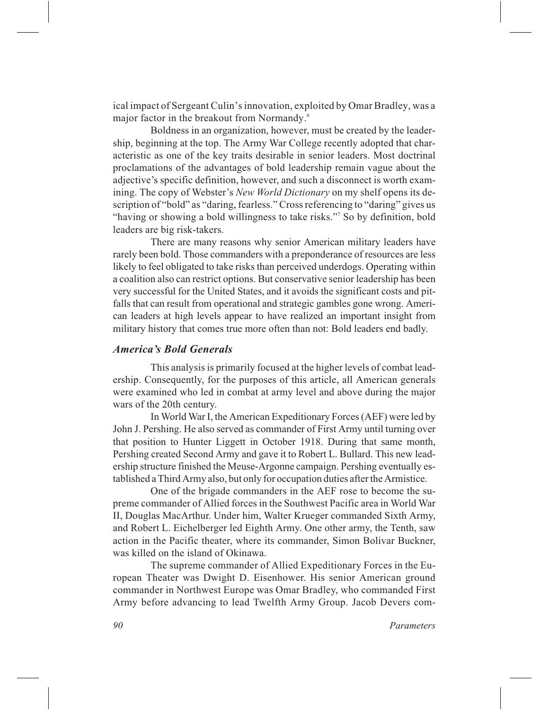ical impact of Sergeant Culin's innovation, exploited by Omar Bradley, was a major factor in the breakout from Normandy.<sup>6</sup>

Boldness in an organization, however, must be created by the leadership, beginning at the top. The Army War College recently adopted that characteristic as one of the key traits desirable in senior leaders. Most doctrinal proclamations of the advantages of bold leadership remain vague about the adjective's specific definition, however, and such a disconnect is worth examining. The copy of Webster's *New World Dictionary* on my shelf opens its description of "bold" as "daring, fearless." Cross referencing to "daring" gives us "having or showing a bold willingness to take risks."<sup>7</sup> So by definition, bold leaders are big risk-takers.

There are many reasons why senior American military leaders have rarely been bold. Those commanders with a preponderance of resources are less likely to feel obligated to take risks than perceived underdogs. Operating within a coalition also can restrict options. But conservative senior leadership has been very successful for the United States, and it avoids the significant costs and pitfalls that can result from operational and strategic gambles gone wrong. American leaders at high levels appear to have realized an important insight from military history that comes true more often than not: Bold leaders end badly.

#### *America's Bold Generals*

This analysis is primarily focused at the higher levels of combat leadership. Consequently, for the purposes of this article, all American generals were examined who led in combat at army level and above during the major wars of the 20th century.

In World War I, the American Expeditionary Forces (AEF) were led by John J. Pershing. He also served as commander of First Army until turning over that position to Hunter Liggett in October 1918. During that same month, Pershing created Second Army and gave it to Robert L. Bullard. This new leadership structure finished the Meuse-Argonne campaign. Pershing eventually established a Third Army also, but only for occupation duties after the Armistice.

One of the brigade commanders in the AEF rose to become the supreme commander of Allied forces in the Southwest Pacific area in World War II, Douglas MacArthur. Under him, Walter Krueger commanded Sixth Army, and Robert L. Eichelberger led Eighth Army. One other army, the Tenth, saw action in the Pacific theater, where its commander, Simon Bolivar Buckner, was killed on the island of Okinawa.

The supreme commander of Allied Expeditionary Forces in the European Theater was Dwight D. Eisenhower. His senior American ground commander in Northwest Europe was Omar Bradley, who commanded First Army before advancing to lead Twelfth Army Group. Jacob Devers com-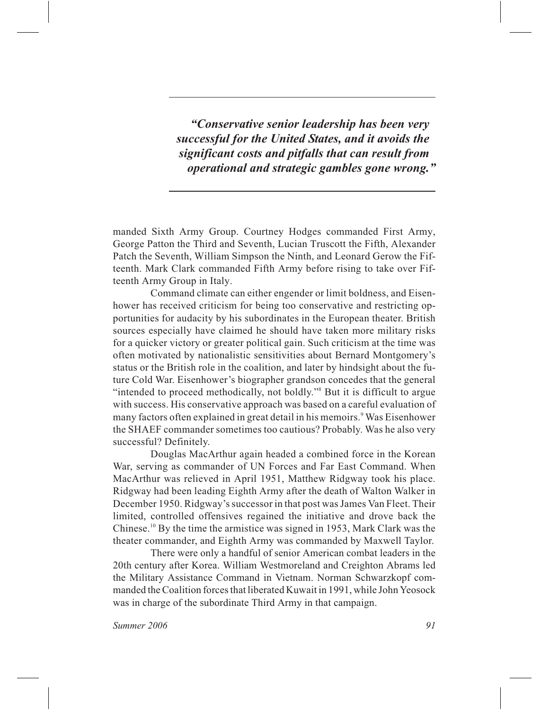*"Conservative senior leadership has been very successful for the United States, and it avoids the significant costs and pitfalls that can result from operational and strategic gambles gone wrong."*

manded Sixth Army Group. Courtney Hodges commanded First Army, George Patton the Third and Seventh, Lucian Truscott the Fifth, Alexander Patch the Seventh, William Simpson the Ninth, and Leonard Gerow the Fifteenth. Mark Clark commanded Fifth Army before rising to take over Fifteenth Army Group in Italy.

Command climate can either engender or limit boldness, and Eisenhower has received criticism for being too conservative and restricting opportunities for audacity by his subordinates in the European theater. British sources especially have claimed he should have taken more military risks for a quicker victory or greater political gain. Such criticism at the time was often motivated by nationalistic sensitivities about Bernard Montgomery's status or the British role in the coalition, and later by hindsight about the future Cold War. Eisenhower's biographer grandson concedes that the general "intended to proceed methodically, not boldly."8 But it is difficult to argue with success. His conservative approach was based on a careful evaluation of many factors often explained in great detail in his memoirs.<sup>9</sup> Was Eisenhower the SHAEF commander sometimes too cautious? Probably. Was he also very successful? Definitely.

Douglas MacArthur again headed a combined force in the Korean War, serving as commander of UN Forces and Far East Command. When MacArthur was relieved in April 1951, Matthew Ridgway took his place. Ridgway had been leading Eighth Army after the death of Walton Walker in December 1950. Ridgway's successor in that post was James Van Fleet. Their limited, controlled offensives regained the initiative and drove back the Chinese.10 By the time the armistice was signed in 1953, Mark Clark was the theater commander, and Eighth Army was commanded by Maxwell Taylor.

There were only a handful of senior American combat leaders in the 20th century after Korea. William Westmoreland and Creighton Abrams led the Military Assistance Command in Vietnam. Norman Schwarzkopf commanded the Coalition forces that liberated Kuwait in 1991, while John Yeosock was in charge of the subordinate Third Army in that campaign.

*Summer 2006 91*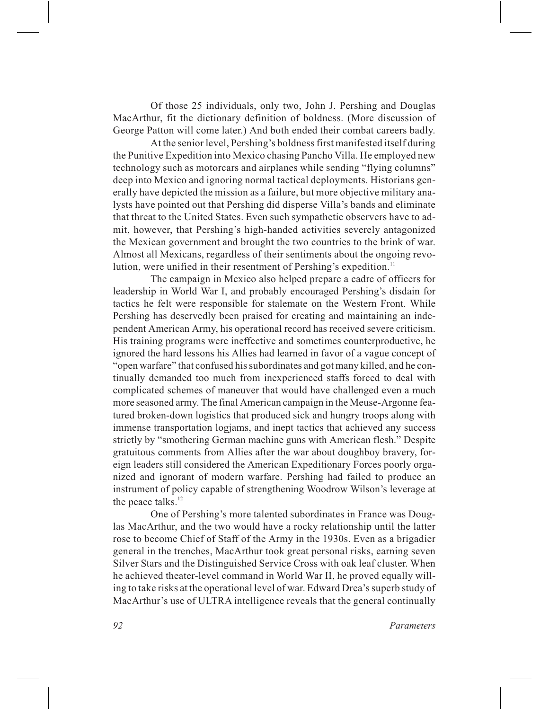Of those 25 individuals, only two, John J. Pershing and Douglas MacArthur, fit the dictionary definition of boldness. (More discussion of George Patton will come later.) And both ended their combat careers badly.

At the senior level, Pershing's boldness first manifested itself during the Punitive Expedition into Mexico chasing Pancho Villa. He employed new technology such as motorcars and airplanes while sending "flying columns" deep into Mexico and ignoring normal tactical deployments. Historians generally have depicted the mission as a failure, but more objective military analysts have pointed out that Pershing did disperse Villa's bands and eliminate that threat to the United States. Even such sympathetic observers have to admit, however, that Pershing's high-handed activities severely antagonized the Mexican government and brought the two countries to the brink of war. Almost all Mexicans, regardless of their sentiments about the ongoing revolution, were unified in their resentment of Pershing's expedition.<sup>11</sup>

The campaign in Mexico also helped prepare a cadre of officers for leadership in World War I, and probably encouraged Pershing's disdain for tactics he felt were responsible for stalemate on the Western Front. While Pershing has deservedly been praised for creating and maintaining an independent American Army, his operational record has received severe criticism. His training programs were ineffective and sometimes counterproductive, he ignored the hard lessons his Allies had learned in favor of a vague concept of "open warfare" that confused his subordinates and got many killed, and he continually demanded too much from inexperienced staffs forced to deal with complicated schemes of maneuver that would have challenged even a much more seasoned army. The final American campaign in the Meuse-Argonne featured broken-down logistics that produced sick and hungry troops along with immense transportation logjams, and inept tactics that achieved any success strictly by "smothering German machine guns with American flesh." Despite gratuitous comments from Allies after the war about doughboy bravery, foreign leaders still considered the American Expeditionary Forces poorly organized and ignorant of modern warfare. Pershing had failed to produce an instrument of policy capable of strengthening Woodrow Wilson's leverage at the peace talks.<sup>12</sup>

One of Pershing's more talented subordinates in France was Douglas MacArthur, and the two would have a rocky relationship until the latter rose to become Chief of Staff of the Army in the 1930s. Even as a brigadier general in the trenches, MacArthur took great personal risks, earning seven Silver Stars and the Distinguished Service Cross with oak leaf cluster. When he achieved theater-level command in World War II, he proved equally willing to take risks at the operational level of war. Edward Drea's superb study of MacArthur's use of ULTRA intelligence reveals that the general continually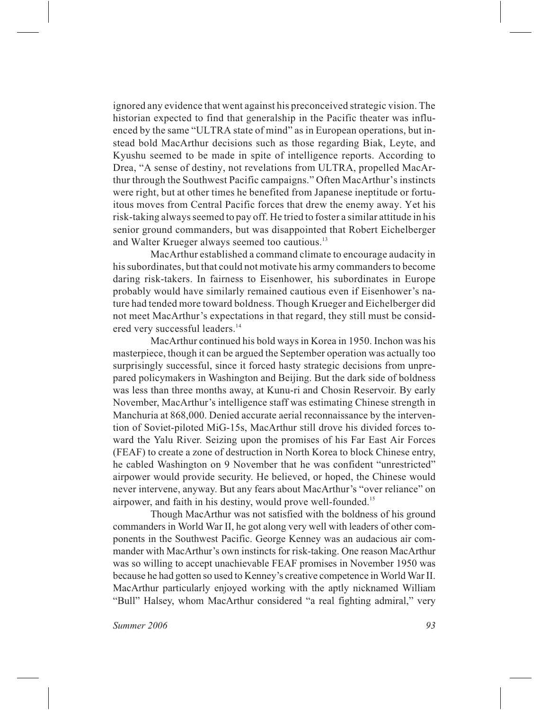ignored any evidence that went against his preconceived strategic vision. The historian expected to find that generalship in the Pacific theater was influenced by the same "ULTRA state of mind" as in European operations, but instead bold MacArthur decisions such as those regarding Biak, Leyte, and Kyushu seemed to be made in spite of intelligence reports. According to Drea, "A sense of destiny, not revelations from ULTRA, propelled MacArthur through the Southwest Pacific campaigns." Often MacArthur's instincts were right, but at other times he benefited from Japanese ineptitude or fortuitous moves from Central Pacific forces that drew the enemy away. Yet his risk-taking always seemed to pay off. He tried to foster a similar attitude in his senior ground commanders, but was disappointed that Robert Eichelberger and Walter Krueger always seemed too cautious.<sup>13</sup>

MacArthur established a command climate to encourage audacity in his subordinates, but that could not motivate his army commanders to become daring risk-takers. In fairness to Eisenhower, his subordinates in Europe probably would have similarly remained cautious even if Eisenhower's nature had tended more toward boldness. Though Krueger and Eichelberger did not meet MacArthur's expectations in that regard, they still must be considered very successful leaders.<sup>14</sup>

MacArthur continued his bold ways in Korea in 1950. Inchon was his masterpiece, though it can be argued the September operation was actually too surprisingly successful, since it forced hasty strategic decisions from unprepared policymakers in Washington and Beijing. But the dark side of boldness was less than three months away, at Kunu-ri and Chosin Reservoir. By early November, MacArthur's intelligence staff was estimating Chinese strength in Manchuria at 868,000. Denied accurate aerial reconnaissance by the intervention of Soviet-piloted MiG-15s, MacArthur still drove his divided forces toward the Yalu River. Seizing upon the promises of his Far East Air Forces (FEAF) to create a zone of destruction in North Korea to block Chinese entry, he cabled Washington on 9 November that he was confident "unrestricted" airpower would provide security. He believed, or hoped, the Chinese would never intervene, anyway. But any fears about MacArthur's "over reliance" on airpower, and faith in his destiny, would prove well-founded.<sup>15</sup>

Though MacArthur was not satisfied with the boldness of his ground commanders in World War II, he got along very well with leaders of other components in the Southwest Pacific. George Kenney was an audacious air commander with MacArthur's own instincts for risk-taking. One reason MacArthur was so willing to accept unachievable FEAF promises in November 1950 was because he had gotten so used to Kenney's creative competence in World War II. MacArthur particularly enjoyed working with the aptly nicknamed William "Bull" Halsey, whom MacArthur considered "a real fighting admiral," very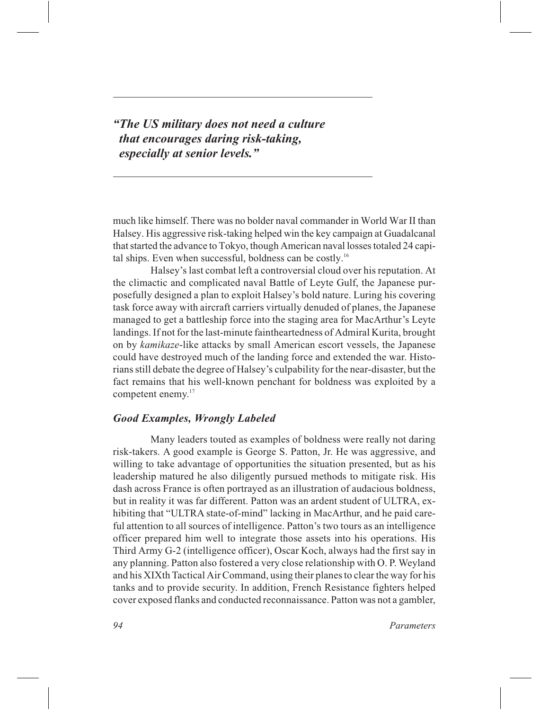*"The US military does not need a culture that encourages daring risk-taking, especially at senior levels."*

much like himself. There was no bolder naval commander in World War II than Halsey. His aggressive risk-taking helped win the key campaign at Guadalcanal that started the advance to Tokyo, though American naval losses totaled 24 capital ships. Even when successful, boldness can be costly.<sup>16</sup>

Halsey's last combat left a controversial cloud over his reputation. At the climactic and complicated naval Battle of Leyte Gulf, the Japanese purposefully designed a plan to exploit Halsey's bold nature. Luring his covering task force away with aircraft carriers virtually denuded of planes, the Japanese managed to get a battleship force into the staging area for MacArthur's Leyte landings. If not for the last-minute faintheartedness of Admiral Kurita, brought on by *kamikaze*-like attacks by small American escort vessels, the Japanese could have destroyed much of the landing force and extended the war. Historians still debate the degree of Halsey's culpability for the near-disaster, but the fact remains that his well-known penchant for boldness was exploited by a competent enemy.<sup>17</sup>

#### *Good Examples, Wrongly Labeled*

Many leaders touted as examples of boldness were really not daring risk-takers. A good example is George S. Patton, Jr. He was aggressive, and willing to take advantage of opportunities the situation presented, but as his leadership matured he also diligently pursued methods to mitigate risk. His dash across France is often portrayed as an illustration of audacious boldness, but in reality it was far different. Patton was an ardent student of ULTRA, exhibiting that "ULTRA state-of-mind" lacking in MacArthur, and he paid careful attention to all sources of intelligence. Patton's two tours as an intelligence officer prepared him well to integrate those assets into his operations. His Third Army G-2 (intelligence officer), Oscar Koch, always had the first say in any planning. Patton also fostered a very close relationship with O. P. Weyland and his XIXth Tactical Air Command, using their planes to clear the way for his tanks and to provide security. In addition, French Resistance fighters helped cover exposed flanks and conducted reconnaissance. Patton was not a gambler,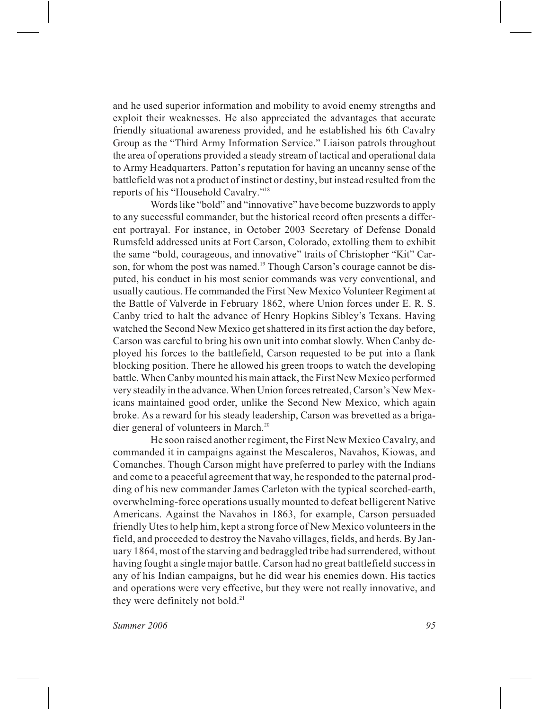and he used superior information and mobility to avoid enemy strengths and exploit their weaknesses. He also appreciated the advantages that accurate friendly situational awareness provided, and he established his 6th Cavalry Group as the "Third Army Information Service." Liaison patrols throughout the area of operations provided a steady stream of tactical and operational data to Army Headquarters. Patton's reputation for having an uncanny sense of the battlefield was not a product of instinct or destiny, but instead resulted from the reports of his "Household Cavalry."18

Words like "bold" and "innovative" have become buzzwords to apply to any successful commander, but the historical record often presents a different portrayal. For instance, in October 2003 Secretary of Defense Donald Rumsfeld addressed units at Fort Carson, Colorado, extolling them to exhibit the same "bold, courageous, and innovative" traits of Christopher "Kit" Carson, for whom the post was named.<sup>19</sup> Though Carson's courage cannot be disputed, his conduct in his most senior commands was very conventional, and usually cautious. He commanded the First New Mexico Volunteer Regiment at the Battle of Valverde in February 1862, where Union forces under E. R. S. Canby tried to halt the advance of Henry Hopkins Sibley's Texans. Having watched the Second New Mexico get shattered in its first action the day before, Carson was careful to bring his own unit into combat slowly. When Canby deployed his forces to the battlefield, Carson requested to be put into a flank blocking position. There he allowed his green troops to watch the developing battle. When Canby mounted his main attack, the First New Mexico performed very steadily in the advance. When Union forces retreated, Carson's New Mexicans maintained good order, unlike the Second New Mexico, which again broke. As a reward for his steady leadership, Carson was brevetted as a brigadier general of volunteers in March.<sup>20</sup>

He soon raised another regiment, the First New Mexico Cavalry, and commanded it in campaigns against the Mescaleros, Navahos, Kiowas, and Comanches. Though Carson might have preferred to parley with the Indians and come to a peaceful agreement that way, he responded to the paternal prodding of his new commander James Carleton with the typical scorched-earth, overwhelming-force operations usually mounted to defeat belligerent Native Americans. Against the Navahos in 1863, for example, Carson persuaded friendly Utes to help him, kept a strong force of New Mexico volunteers in the field, and proceeded to destroy the Navaho villages, fields, and herds. By January 1864, most of the starving and bedraggled tribe had surrendered, without having fought a single major battle. Carson had no great battlefield success in any of his Indian campaigns, but he did wear his enemies down. His tactics and operations were very effective, but they were not really innovative, and they were definitely not bold. $^{21}$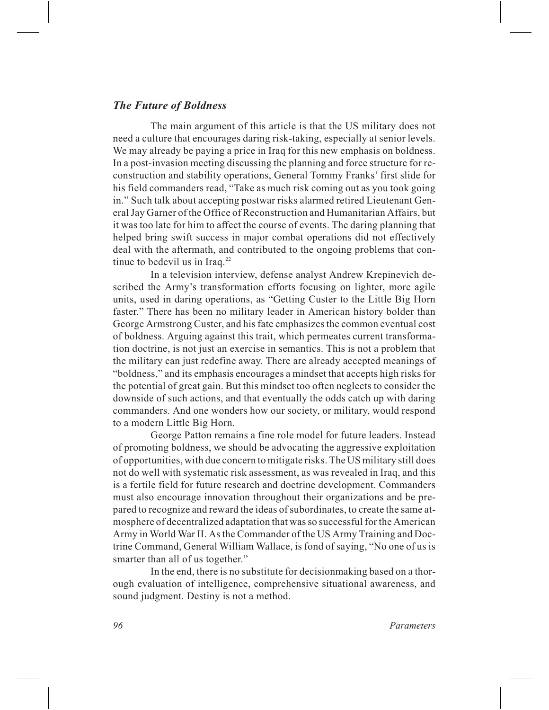#### *The Future of Boldness*

The main argument of this article is that the US military does not need a culture that encourages daring risk-taking, especially at senior levels. We may already be paying a price in Iraq for this new emphasis on boldness. In a post-invasion meeting discussing the planning and force structure for reconstruction and stability operations, General Tommy Franks' first slide for his field commanders read, "Take as much risk coming out as you took going in." Such talk about accepting postwar risks alarmed retired Lieutenant General Jay Garner of the Office of Reconstruction and Humanitarian Affairs, but it was too late for him to affect the course of events. The daring planning that helped bring swift success in major combat operations did not effectively deal with the aftermath, and contributed to the ongoing problems that continue to bedevil us in Iraq. $^{22}$ 

In a television interview, defense analyst Andrew Krepinevich described the Army's transformation efforts focusing on lighter, more agile units, used in daring operations, as "Getting Custer to the Little Big Horn faster." There has been no military leader in American history bolder than George Armstrong Custer, and his fate emphasizes the common eventual cost of boldness. Arguing against this trait, which permeates current transformation doctrine, is not just an exercise in semantics. This is not a problem that the military can just redefine away. There are already accepted meanings of "boldness," and its emphasis encourages a mindset that accepts high risks for the potential of great gain. But this mindset too often neglects to consider the downside of such actions, and that eventually the odds catch up with daring commanders. And one wonders how our society, or military, would respond to a modern Little Big Horn.

George Patton remains a fine role model for future leaders. Instead of promoting boldness, we should be advocating the aggressive exploitation of opportunities, with due concern to mitigate risks. The US military still does not do well with systematic risk assessment, as was revealed in Iraq, and this is a fertile field for future research and doctrine development. Commanders must also encourage innovation throughout their organizations and be prepared to recognize and reward the ideas of subordinates, to create the same atmosphere of decentralized adaptation that was so successful for the American Army in World War II. As the Commander of the US Army Training and Doctrine Command, General William Wallace, is fond of saying, "No one of us is smarter than all of us together."

In the end, there is no substitute for decisionmaking based on a thorough evaluation of intelligence, comprehensive situational awareness, and sound judgment. Destiny is not a method.